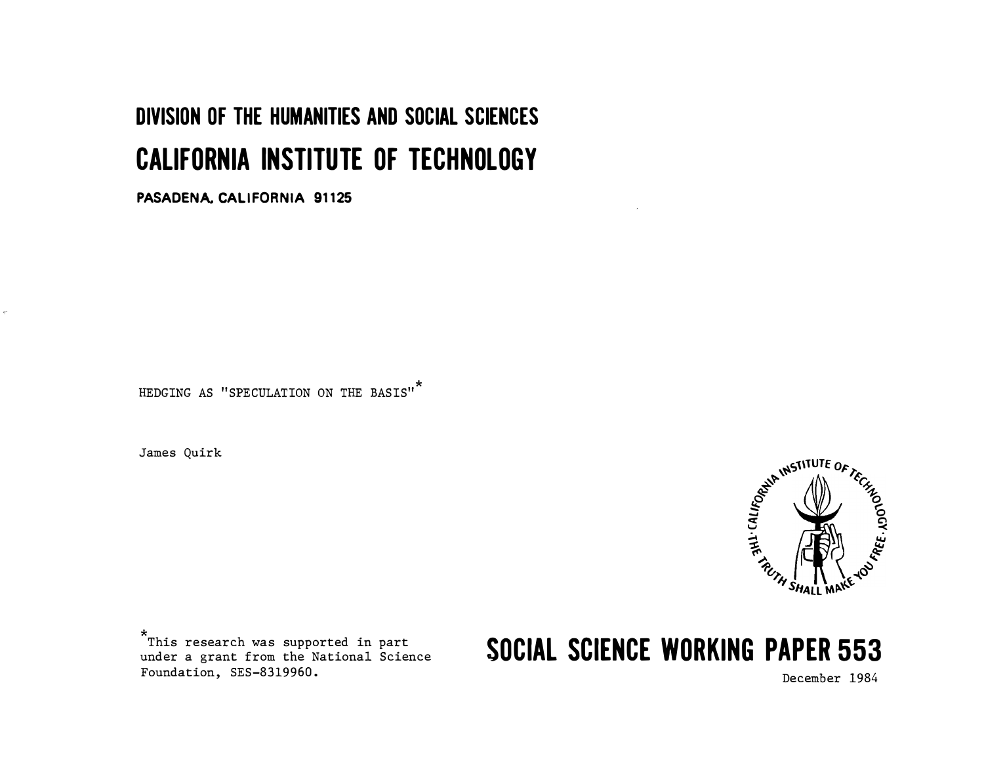# **DIVISION OF THE HUMANITIES AND SOCIAL SCIENCES CALIFORNIA INSTITUTE OF TECHNOLOGY**

PASADENA, CALIFORNIA 91125

HEDGING AS "SPECULATION ON THE BASIS"

James Quirk

 $\hat{\mathbf{r}}$ 



This research was supported in part under a grant from the National Science Foundation, SES-8319960.

# **SOCIAL SCIENCE WORKING PAPER 553**

December 1984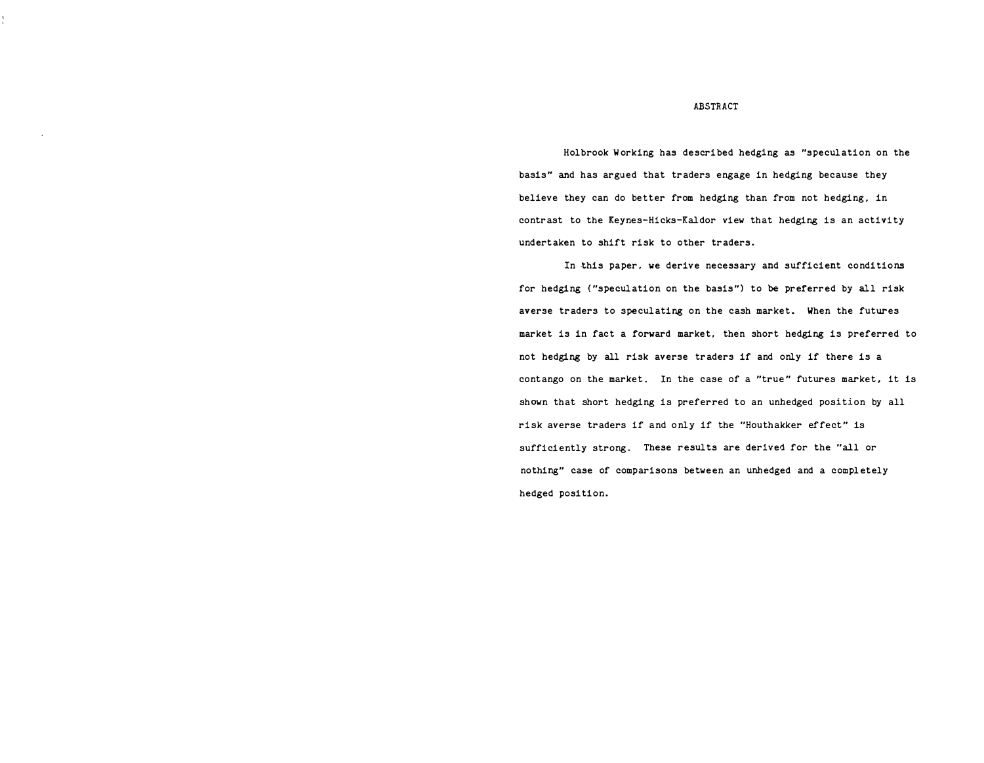#### ABSTRACT

Holbrook Working has described hedging as "speculation on the basis" and has argued that traders engage in hedging because they believe they can do better from hedging than from not hedging, in contrast to the Keynes-Hicks-Kaldor view that hedging is an activity undertaken to shift risk to other traders.

In this paper, we derive necessary and sufficient conditions for hedging ("speculation on the basis"} to be preferred by all risk averse traders to speculating on the cash market. When the futures market is in fact a forward market, then short hedging is preferred to not hedging by all risk averse traders if and only if there is a contango on the market. In the case of a "true" futures market, it is shown that short hedging is preferred to an unhedged position by all risk averse traders if and only if the "Houthakker effect" is sufficiently strong. These results are derived for the "all or nothing" case of comparisons between an unhedged and a completely hedged position.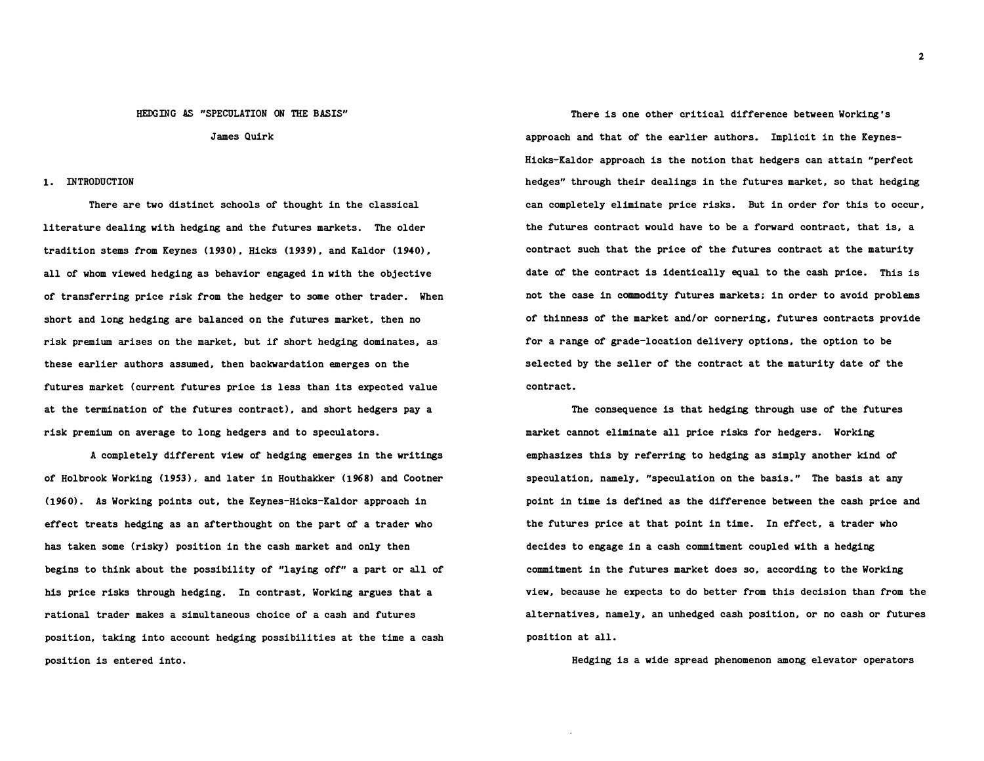#### HEDGING AS "SPECULATION ON THE BASIS"

James Quirk

### 1. INTRODUCTION

There are two distinct schools of thought in the classical literature dealing with hedging and the futures markets. The older tradition stems from Keynes (1930 ), Hicks (1939), and Kaldor (1940 ), all of whom viewed hedging as behavior engaged in with the objective of transferring price risk from the hedger to some other trader. When short and long hedging are balanced on the futures market, then no risk premium arises on the market, but if short hedging dominates, as these earlier authors assumed, then backwardation emerges on the futures market (current futures price is less than its expected value at the termination of the futures contract), and short hedgers pay a risk premium on average to long hedgers and to speculators.

A completely different view of hedging emerges in the writings of Holbrook Working (1953), and later in Houthakker (1968) and Cootner (1960). As Working points out, the Keynes-Hicks-Kaldor approach in effect treats hedging as an afterthought on the part of a trader who has taken some (risky) position in the cash market and only then begins to think about the possibility of "laying off" a part or all of his price risks through hedging. In contrast, Working argues that a rational trader makes a simultaneous choice of a cash and futures position, taking into account hedging possibilities at the time a cash position is entered into.

There is one other critical difference between Working's approach and that of the earlier authors. Implicit in the Keynes-Hicks-Kaldor approach is the notion that hedgers can attain "perfect hedges" through their dealings in the futures market, so that hedging can completely eliminate price risks. But in order for this to occur, the futures contract would have to be a forward contract, that is, a contract such that the price of the futures contract at the maturity date of the contract is identically equal to the cash price. This is not the case in commodity futures markets; in order to avoid problems of thinness of the market and/or cornering, futures contracts provide for a range of grade-location delivery options, the option to be selected by the seller of the contract at the maturity date of the contract.

The consequence is that hedging through use of the futures market cannot eliminate all price risks for hedgers. Working emphasizes this by referring to hedging as simply another kind of speculation, namely, "speculation on the basis. " The basis at any point in time is defined as the difference between the cash price and the futures price at that point in time. In effect, a trader who decides to engage in a cash commitment coupled with a hedging commitment in the futures market does so, according to the Working view, because he expects to do better from this decision than from the alternatives, namely, an unhedged cash position, or no cash or futures position at all.

Hedging is a wide spread phenomenon among elevator operators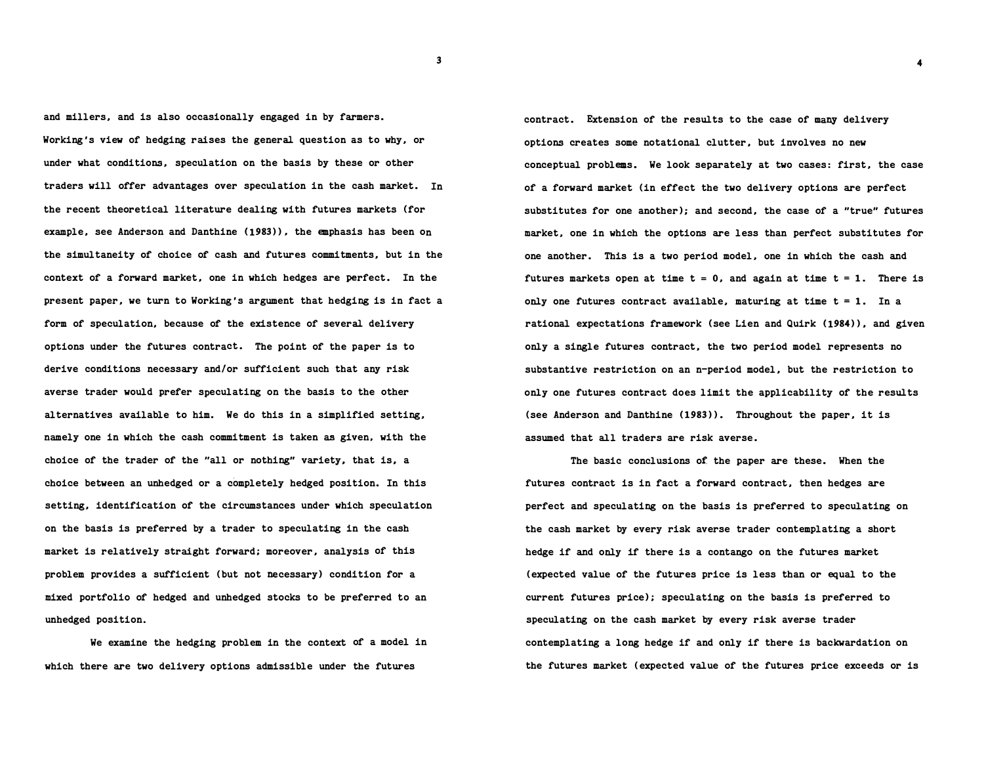and millers, and is also occasionally engaged in by farmers. Working's view of hedging raises the general question as to why, or under what conditions, speculation on the basis by these or other traders will offer advantages over speculation in the cash market. In the recent theoretical literature dealing with futures markets (for example, see Anderson and Danthine (1983)), the emphasis has been on the simultaneity of choice of cash and futures commitments, but in the context of a forward market, one in which hedges are perfect. In the present paper, we turn to Working's argument that hedging is in fact a form of speculation, because of the existence of several delivery options under the futures contract. The point of the paper is to derive conditions necessary and/or sufficient such that any risk averse trader would prefer speculating on the basis to the other alternatives available to him. We do this in a simplified setting, namely one in which the cash commitment is taken as given, with the choice of the trader of the "all or nothing" variety, that is, a choice between an unhedged or a completely hedged position. In this setting, identification of the circumstances under which speculation on the basis is preferred by a trader to speculating in the cash market is relatively straight forward; moreover, analysis of this problem provides a sufficient (but not necessary) condition for a mixed portfolio of hedged and unhedged stocks to be preferred to an unhedged position.

We examine the hedging problem in the context of a model in which there are two delivery options admissible under the futures

contract. Extension of the results to the case of many delivery options creates some notational clutter, but involves no new conceptual problems. We look separately at two cases: first, the case of a forward market (in effect the two delivery options are perfect substitutes for one another); and second, the case of a "true" futures market, one in which the options are less than perfect substitutes for one another. This is a two period model, one in which the cash and futures markets open at time  $t = 0$ , and again at time  $t = 1$ . There is only one futures contract available, maturing at time  $t = 1$ . In a rational expectations framework (see Lien and Quirk (1984)), and given only a single futures contract, the two period model represents no substantive restriction on an n-period model, but the restriction to only one futures contract does limit the applicability of the results (see Anderson and Danthine (1983)). Throughout the paper, it is assumed that all traders are risk averse.

The basic conclusions of the paper are these. When the futures contract is in fact a forward contract, then hedges are perfect and speculating on the basis is preferred to speculating on the cash market by every risk averse trader contemplating a short hedge if and only if there is a contango on the futures market (expected value of the futures price is less than or equal to the current futures price); speculating on the basis is preferred to speculating on the cash market by every risk averse trader contemplating a long hedge if and only if there is backwardation on the futures market (expected value of the futures price exceeds or is

3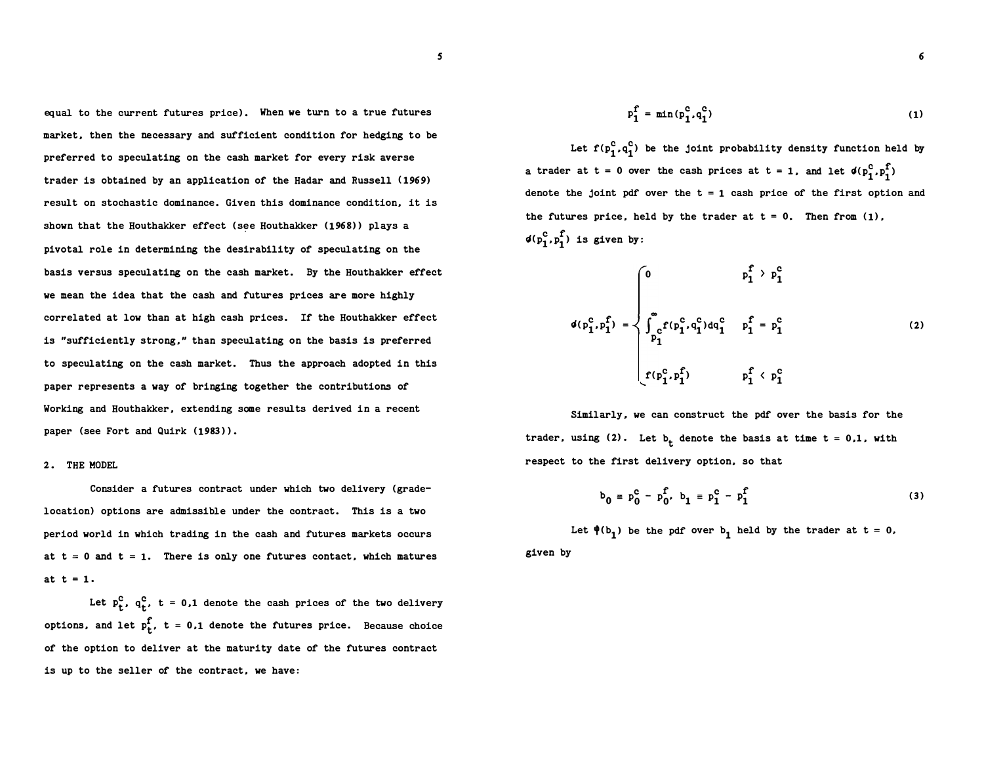equal to the current futures price). When we turn to a true futures market, then the necessary and sufficient condition for hedging to be preferred to speculating on the cash market for every risk averse trader is obtained by an application of the Hadar and Russell (1969) result on stochastic dominance. Given this dominance condition, it is shown that the Houthakker effect (see Houthakker (1968)) plays a pivotal role in determining the desirability of speculating on the basis versus speculating on the cash market. By the Houthakker effect we mean the idea that the cash and futures prices are more highly correlated at low than at high cash prices. If the Houthakker effect is "sufficiently strong," than speculating on the basis is preferred to speculating on the cash market. Thus the approach adopted in this paper represents a way of bringing together the contributions of Working and Houthakker, extending some results derived in a recent paper (see Fort and Quirk (1983)).

### 2. THE HODEL

Consider a futures contract under which two delivery (gradelocation) options are admissible under the contract. This is a two period world in which trading in the cash and futures markets occurs at  $t = 0$  and  $t = 1$ . There is only one futures contact, which matures at  $t = 1$ .

Let  $p_t^c$ ,  $q_t^c$ ,  $t = 0,1$  denote the cash prices of the two delivery options, and let  $p_t^f$ ,  $t = 0,1$  denote the futures price. Because choice of the option to deliver at the maturity date of the futures contract is up to the seller of the contract, we have:

$$
p_1^f = \min(p_1^c, q_1^c) \tag{1}
$$

Let  $f(p_1^C, q_1^C)$  be the joint probability density function held by a trader at t = 0 over the cash prices at t = 1, and let  $\phi(p_1^c, p_1^f)$ denote the joint pdf over the  $t = 1$  cash price of the first option and the futures price, held by the trader at  $t = 0$ . Then from  $(1)$ ,  $\phi(p_1^c, p_1^f)$  is given by:

$$
d(p_1^c, p_1^f) = \begin{cases} 0 & p_1^f > p_1^c \\ \int_{p_1^c}^{\infty} f(p_1^c, q_1^c) dq_1^c & p_1^f = p_1^c \\ f(p_1^c, p_1^f) & p_1^f < p_1^c \end{cases}
$$
 (2)

Similarly, we can construct the pdf over the basis for the trader, using  $(2)$ . Let  $b_t$  denote the basis at time t = 0,1, with respect to the first delivery option, so that

$$
b_0 = p_0^c - p_0^f, b_1 = p_1^c - p_1^f
$$
 (3)

given by Let  $\phi(b_1)$  be the pdf over  $b_1$  held by the trader at t = 0, 6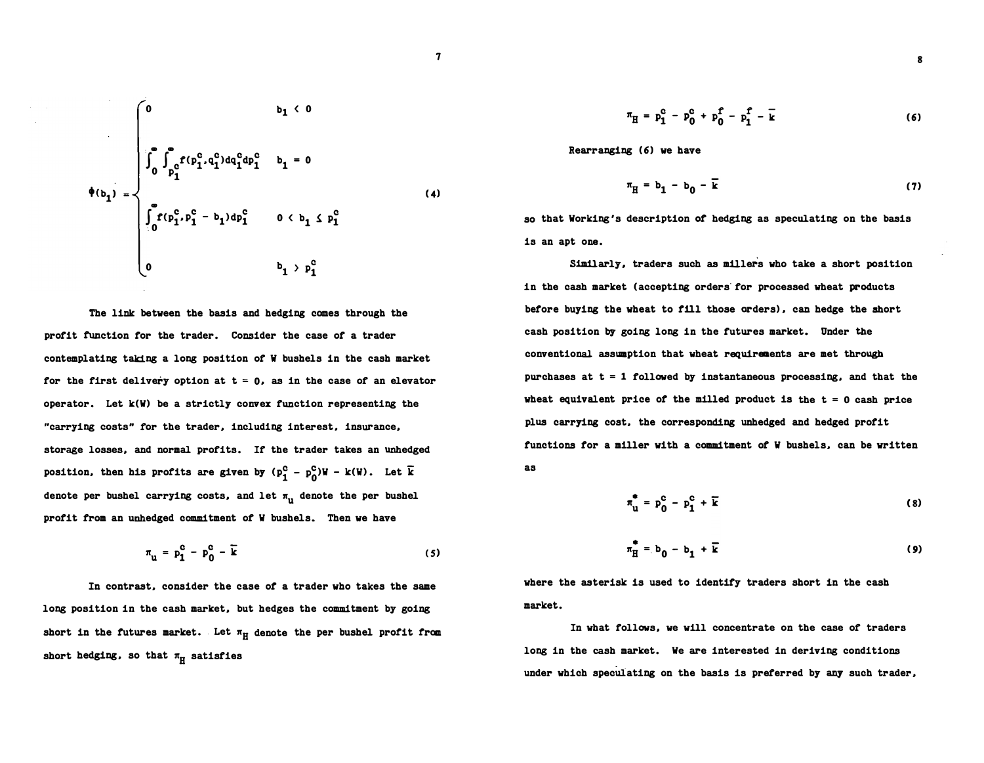$$
\phi(b_1) = \begin{cases}\n0 & b_1 < 0 \\
\int_0^a \int_{p_1^c}^a f(p_1^c, q_1^c) dq_1^c dp_1^c & b_1 = 0 \\
\int_0^a f(p_1^c, p_1^c - b_1) dp_1^c & 0 < b_1 \le p_1^c \\
0 & b_1 > p_1^c\n\end{cases}
$$
\n(4)

The link between the basis and hedging comes through the profit function for the trader. Consider the case of a trader contemplating taking a long position of W bushels in the cash market for the first delivery option at  $t = 0$ , as in the case of an elevator operator. Let  $k(W)$  be a strictly convex function representing the "carrying costs" tor the trader. including interest. insurance. storage losses. and normal profits. If the trader takes an unhedged position, then his profits are given by  $(p_1^C - p_0^C)W - k(W)$ . Let  $\bar{k}$ denote per bushel carrying costs, and let  $\pi_{\mathrm{u}}^{\mathrm{u}}$  denote the per bushel profit from an unhedged commitment of W bushels. Then we have

$$
\pi_{\mathbf{u}} = \mathbf{p}_1^{\mathbf{c}} - \mathbf{p}_0^{\mathbf{c}} - \mathbf{\bar{k}} \tag{5}
$$

In contrast. consider the case of a trader who takes the same long position in the cash market, but hedges the commitment by going short in the futures market. Let  $\pi_H$  denote the per bushel profit from short hedging, so that  $\pi_H$  satisfies

$$
\pi_{\rm H} = p_1^{\rm c} - p_0^{\rm c} + p_0^{\rm f} - p_1^{\rm f} - \bar{k} \tag{6}
$$

Rearranging (6) we have

$$
\pi_{\mathrm{H}} = \mathbf{b_1} - \mathbf{b_0} - \mathbf{k} \tag{7}
$$

so that Working's description ot hedging as speculating on the basis is an apt one.

S1m11arly. traders such as millers who take a short position in the cash market (accepting orders· for processed wheat products before buying the wheat to fill those orders) • can hedge the short cash position by going long in the futures market. Under the conventional assumption that wheat requirements are met through purchases at  $t = 1$  followed by instantaneous processing, and that the wheat equivalent price of the milled product is the  $t = 0$  cash price plus carrying cost. the corresponding unhedged and hedged profit functions for a miller with a commitment of W bushels. can be written as

$$
\pi_{\mathbf{u}}^{\bullet} = \mathbf{p}_{0}^{\mathbf{c}} - \mathbf{p}_{1}^{\mathbf{c}} + \overline{\mathbf{k}} \tag{8}
$$

$$
\pi_{\mathbf{H}}^{\bullet} = \mathbf{b}_0 - \mathbf{b}_1 + \overline{\mathbf{k}} \tag{9}
$$

where the asterisk is used to identify traders short in the cash market.

In what follows. we will concentrate on the case of traders long in the cash market. We are interested in deriving conditions under which speculating on the basis is preferred by any such trader.

$$
\boldsymbol{7}
$$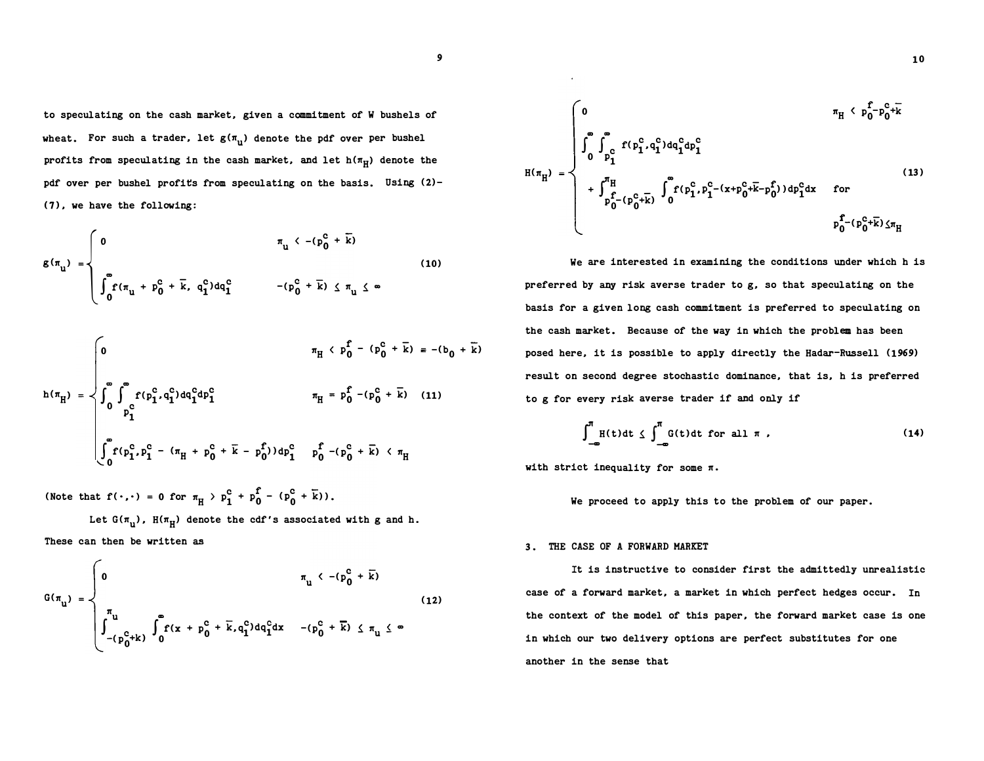to speculating on the cash market, given a commitment of W bushels of wheat. For such a trader, let  $\mathsf{g}(\pi_{\mathbf{u}})$  denote the pdf over per bushel profits from speculating in the cash market, and let  $\mathtt{h}(\pi_{\mathrm{H}})$  denote the pdf over per bushel profits from speculating on the basis. Using (2)- ( 7), we have the following:

$$
g(\pi_{u}) = \begin{cases} 0 & \pi_{u} \leftarrow (p_{0}^{c} + \overline{k}) \\ \int_{0}^{\infty} f(\pi_{u} + p_{0}^{c} + \overline{k}, q_{1}^{c}) dq_{1}^{c} & -(p_{0}^{c} + \overline{k}) \leq \pi_{u} \leq \infty \end{cases}
$$
(10)

$$
h(\pi_{H}) = \begin{cases}\n0 & \pi_{H} \left( p_{0} - (p_{0}^{c} + k) \right) = -(b_{0} + k) \\
0 & \int_{0}^{\infty} \int_{p_{1}^{c}}^{p_{1} + (p_{1}^{c} + q_{1}^{c}) dq_{1}^{c} dp_{1}^{c}} & \pi_{H} = p_{0}^{f} - (p_{0}^{c} + k) \\
0 & \int_{0}^{p_{1}^{c}} (p_{1}^{c} + p_{1}^{c} - (\pi_{H} + p_{0}^{c} + k - p_{0}^{f})) dp_{1}^{c} & \int_{0}^{f} -(p_{0}^{c} + k) < \pi_{H}\n\end{cases}
$$

(Note that  $f(\cdot,\cdot) = 0$  for  $\pi_H > p_1^c + p_0^f - (p_0^c + k)$ ).

 $\overline{\phantom{a}}$ 

Let G( $\pi_{\mathrm{u}}$ ), H( $\pi_{\mathrm{H}}$ ) denote the cdf's associated with g and h. These can then be written as

$$
G(\pi_{u}) = \begin{cases} 0 & \pi_{u} < -(p_{0}^{c} + \overline{k}) \\ \int_{-(p_{0}^{c} + k)}^{\pi_{u}} \int_{0}^{\pi_{c}} f(x + p_{0}^{c} + \overline{k}, q_{1}^{c}) dq_{1}^{c} dx & -(p_{0}^{c} + \overline{k}) \leq \pi_{u} \leq \infty \end{cases}
$$
(12)

$$
H(\pi_{H}) = \begin{cases}\n0 & \pi_{H} < p_{0}^{f} - p_{0}^{c} + \overline{k} \\
\int_{0}^{\infty} \int_{p_{1}^{c}}^{\infty} f(p_{1}^{c}, q_{1}^{c}) dq_{1}^{c} dp_{1}^{c} & \text{for} \\
\int_{p_{0}^{f} - (p_{0}^{c} + \overline{k})}^{\infty} \int_{0}^{\infty} f(p_{1}^{c}, p_{1}^{c} - (x + p_{0}^{c} + \overline{k} - p_{0}^{f})) dp_{1}^{c} dx & \text{for} \\
\int_{p_{0}^{f} - (p_{0}^{c} + \overline{k})}^{\infty} \frac{f(p_{0}^{c}, p_{1}^{c})}{\sqrt{p_{0}^{f}} dp_{1}^{c}} & \text{for} \\
\end{cases}
$$
\n(13)

We are interested in examining the conditions under which h is preferred by any risk averse trader to g, so that speculating on the basis for a given long cash commitment is preferred to speculating on the cash market. Because of the way in which the problem has been posed here, it is possible to apply directly the Hadar-Russell (1969) result on second degree stochastic dominance, that is, h is preferred to g for every risk averse trader if and only if

$$
\int_{-\infty}^{\pi} H(t) dt \leq \int_{-\infty}^{\pi} G(t) dt \text{ for all } \pi,
$$
 (14)

with strict inequality for some  $\pi$ .

We proceed to apply this to the problem of our paper.

#### 3. THE CASE OF A FORWARD MARKET

It is instructive to consider first the admittedly unrealistic case of a forward market, a market in which perfect hedges occur. In the context of the model of this paper, the forward market case is one in which our two delivery options are perfect substitutes for one another in the sense that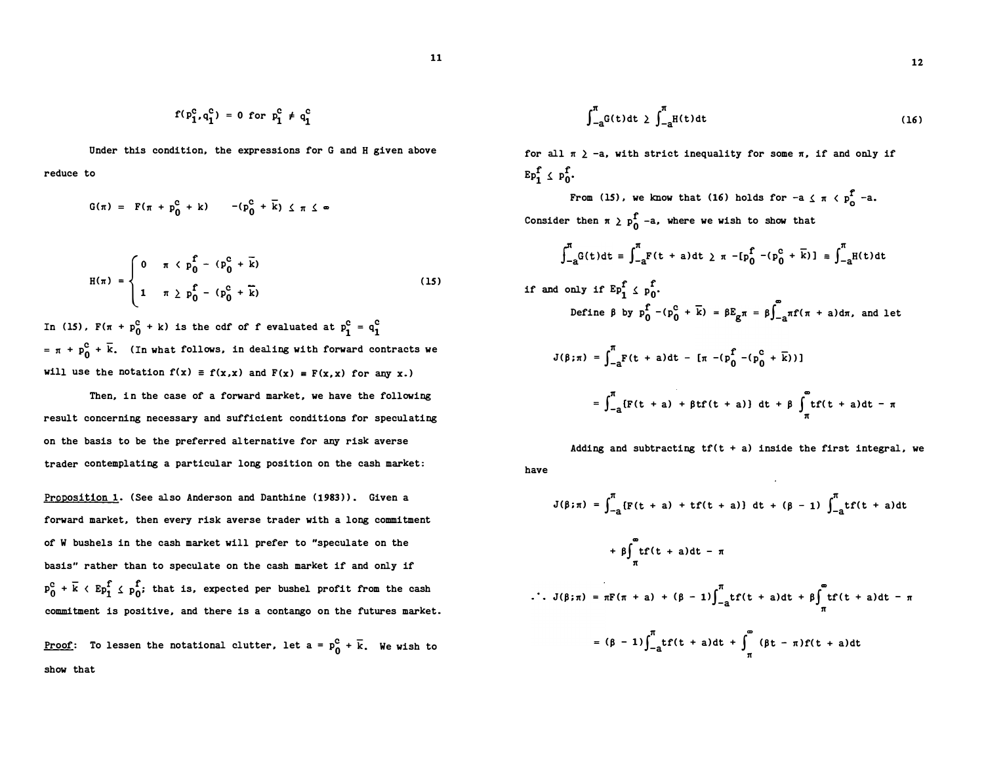$$
f(p_1^c, q_1^c) = 0
$$
 for  $p_1^c \neq q_1^c$ 

Under this condition, the expressions for G and H given above reduce to

$$
G(\pi) = F(\pi + p_0^C + k) - (p_0^C + \overline{k}) \leq \pi \leq \infty
$$

$$
H(\pi) = \begin{cases} 0 & \pi \leq p_0^f - (p_0^c + \bar{k}) \\ 1 & \pi \geq p_0^f - (p_0^c + \bar{k}) \end{cases}
$$
(15)

In (15),  $F(\pi + p_0^C + k)$  is the cdf of f evaluated at  $p_1^C = q_1^C$ =  $\pi$  +  $p_0^c$  +  $\bar{k}$ . (In what follows, in dealing with forward contracts we will use the notation  $f(x) \equiv f(x,x)$  and  $F(x) = F(x,x)$  for any x.)

Then, in the case of a forward market, we have the following result concerning necessary and sufficient conditions for speculating on the basis to be the preferred alternative for any risk averse trader contemplating a particular long position on the cash market:

Proposition 1. (See also Anderson and Danthine (1983)). Given a forward market, then every risk averse trader with a long commitment of W bushels in the cash market will prefer to "speculate on the basis" rather than to speculate on the cash market if and only if  $p_0^c$  +  $\bar{k}$  <  $E p_1^f \le p_0^f$ ; that is, expected per bushel profit from the cash commitment is positive, and there is a contango on the futures market.

<u>Proof</u>: To lessen the notational clutter, let a =  $p_0^c$  +  $\bar{k}$ . We wish to show that

$$
\int_{-a}^{\pi} G(t) dt \ge \int_{-a}^{\pi} H(t) dt
$$
 (16)

for all  $\pi$   $>$  -a, with strict inequality for some  $\pi$ , if and only if  $E_{p_1}^f \leq p_0^f$ .

From (15), we know that (16) holds for  $-a \leq \pi \leq p_{n}^{f}$  -a. Consider then  $\pi$   $\geq p_0^f$  -a, where we wish to show that

$$
\int_{-a}^{\pi} G(t) dt = \int_{-a}^{\pi} F(t + a) dt \ge \pi - [p_0^f - (p_0^c + \overline{k})] = \int_{-a}^{\pi} H(t) dt
$$

if and only if 
$$
Ep_1^f \nvert p_0^f
$$
.  
\nDefine  $\beta$  by  $p_0^f - (p_0^c + \overline{k}) = \beta E_g \pi = \beta \int_{-a}^{\infty} \pi f(\pi + a) d\pi$ , and let

$$
J(\beta;\pi) = \int_{-a}^{\pi} F(t + a) dt - [\pi - (p_0^f - (p_0^c + \overline{k}))]
$$

$$
= \int_{-a}^{\pi} \{F(t+a) + \beta t F(t+a)\} dt + \beta \int_{\pi}^{\infty} t f(t+a) dt - \pi
$$

have Adding and subtracting  $tf(t + a)$  inside the first integral, we

$$
J(\beta; \pi) = \int_{-a}^{\pi} [F(t + a) + tf(t + a)] dt + (\beta - 1) \int_{-a}^{\pi} tf(t + a)dt
$$
  
+  $\beta \int_{\pi}^{\pi} tf(t + a)dt - \pi$   
.  $J(\beta; \pi) = \pi F(\pi + a) + (\beta - 1) \int_{-a}^{\pi} tf(t + a)dt + \beta \int_{\pi}^{\pi} tf(t + a)dt - \pi$   
=  $(\beta - 1) \int_{-a}^{\pi} tf(t + a)dt + \int_{\pi}^{\pi} (\beta t - \pi)f(t + a)dt$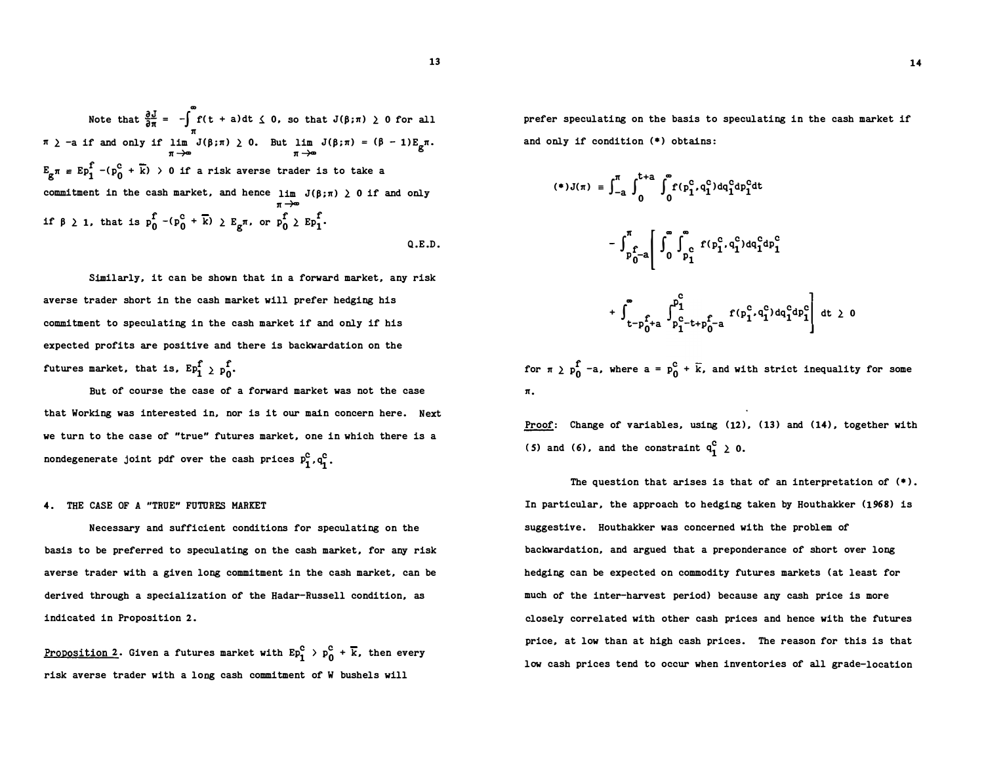Note that  $\frac{\partial J}{\partial \pi} = -\int_{-\pi}^{\infty} f(t + a) dt \leq 0$ , so that  $J(\beta; \pi) \geq 0$  for all m n  $\pi$   $\ge$  -a if and only if lim  $J(\beta;\pi) \ge 0$ .  $\int_{\pi}$   $\pi$  =  $\int_{\pi}$   $\pi$  =  $\int_{\pi}$  =  $\int_{\pi}$  =  $\int_{\pi}$  +  $\pi$   $\to$   $\pi$   $\to$   $\pi$   $\to$   $\pi$   $\to$   $\pi$   $\to$   $\pi$   $\to$   $\pi$   $\to$   $\pi$   $\to$   $\pi$   $\to$   $\pi$   $\to$   $\pi$   $\to$   $\pi$   $\to$   $\pi$   $\to$   $\pi$   $\to$   $\pi$   $\to$   $\pi$   $\pi \rightarrow \Phi$  $E_{\text{g}}\pi = E p_1^{\text{f}}$  -( $p_0^{\text{c}}$  +  $\overline{k}$ ) > 0 if a risk averse trader is to take a commitment in the cash market, and hence  $\lim J(\beta;\pi) \geq 0$  if and only π →≖ commitment in the cash market, and hence  $\lim_{\pi \to \infty} J(\beta)$ :<br>if  $\beta \geq 1$ , that is  $p_0^f - (p_0^c + \overline{k}) \geq E_g \pi$ , or  $p_0^f \geq Ep_1^f$ . Q.E.D.

Similarly, it can be shown that in a forward market, any risk averse trader short in the cash market will prefer hedging his commitment to speculating in the cash market if and only if his expected profits are positive and there is backwardation on the futures market, that is,  $Ep_1^f \nightharpoonup p_0^f$ .

But of course the case of a forward market was not the case that Working was interested in, nor is it our main concern here. Next we turn to the case of "true" futures market, one in which there is a nondegenerate joint pdf over the cash prices  $P_1^C, q_1^C$ .

# 4. THE CASE OF A "TRUE" FUTURES MARKET

Necessary and sufficient conditions for speculating on the basis to be preferred to speculating on the cash market, for any risk averse trader with a given long commitment in the cash market, can be derived through a specialization of the Hadar-Russell condition, as indicated in Proposition 2.

<u>Proposition 2</u>. Given a futures market with  $Ep_1^C$  >  $p_0^C$  +  $\overline{k}$ , then every risk averse trader with a long cash commitment of W bushels will

prefer speculating on the basis to speculating in the cash market if and only if condition (\*) obtains:

$$
(*)J(\pi) = \int_{-a}^{\pi} \int_{0}^{t+a} \int_{0}^{\infty} f(p_1^c, q_1^c) dq_1^c dp_1^c dt
$$

$$
- \int_{p_0^f - a}^{\pi} \left[ \int_{0}^{\infty} \int_{p_1^c}^{\infty} f(p_1^c, q_1^c) dq_1^c dp_1^c + \int_{t-p_0^f + a}^{\infty} \int_{p_1^c - t + p_0^f - a}^{p_1^c} f(p_1^c, q_1^c) dq_1^c dp_1^c \right] dt \ge 0
$$

for  $\pi$   $\geq$   $p_0^f$  -a, where  $a = p_0^c + \overline{k}$ , and with strict inequality for some n.

Proof: Change of variables, using (12), (13) and (14), together with (5) and (6), and the constraint  $q_1^C$   $\geq$  0.

The question that arises is that of an interpretation of  $(*)$ . In particular, the approach to hedging taken by Houthakker (1968) is suggestive. Houthakker was concerned with the problem of backwardation, and argued that a preponderance of short over long hedging can be expected on commodity futures markets (at least for much of the inter-harvest period) because any cash price is more closely correlated with other cash prices and hence with the futures price, at low than at high cash prices. The reason for this is that low cash prices tend to occur when inventories of all grade-location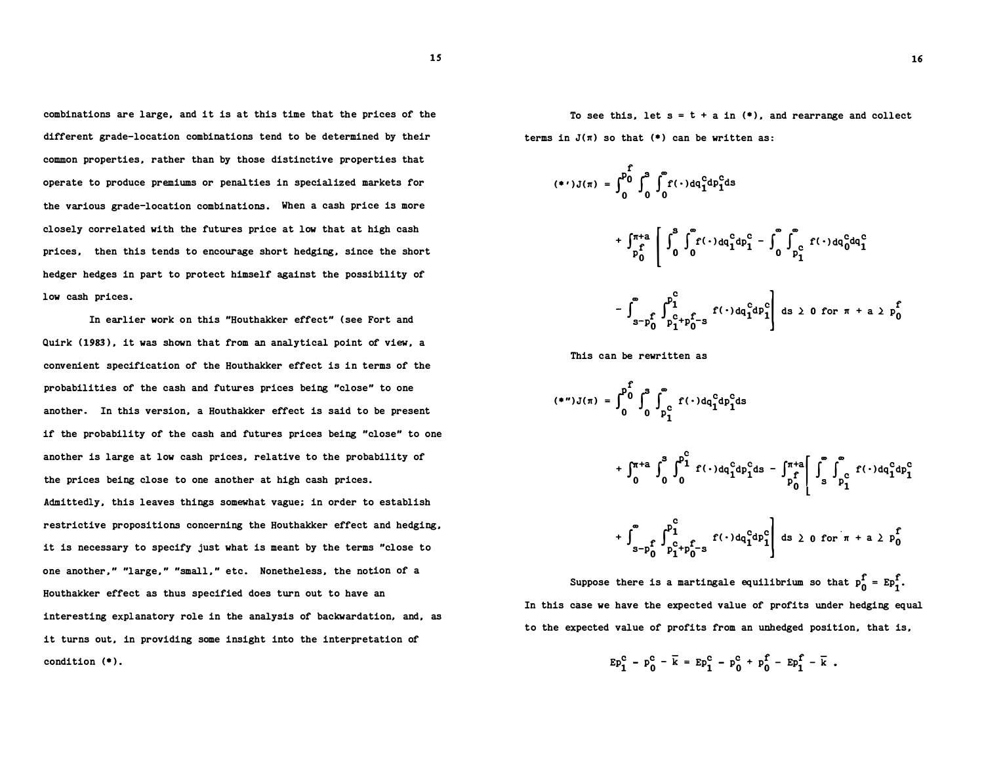combinations are large, and it is at this time that the prices of the different grade-location combinations tend to be determined by their common properties, rather than by those distinctive properties that operate to produce premiums or penalties in specialized markets for the various grade-location combinations. When a cash price is more closely correlated with the futures price at low that at high cash prices, then this tends to encourage short hedging, since the short hedger hedges in part to protect himself against the possibility of low cash prices.

In earlier work on this "Houthakker effect" (see Fort and Quirk (1983), it was shown that from an analytical point of view, a convenient specification of the Houthakker effect is in terms of the probabilities of the cash and futures prices being "close" to one another. In this version, a Houthakker effect is said to be present if the probability of the cash and futures prices being "close" to one another is large at low cash prices, relative to the probability of the prices being close to one another at high cash prices. Admittedly, this leaves things somewhat vague; in order to establish restrictive propositions concerning the Houthakker effect and hedging, it is necessary to specify just what is meant by the terms "close to one another," "large," "small," etc. Nonetheless, the notion of a Houthakker effect as thus specified does turn out to have an interesting explanatory role in the analysis of backwardation, and, as it turns out, in providing some insight into the interpretation of condition (•).

To see this, let  $s = t + a$  in  $(*)$ , and rearrange and collect terms in  $J(\pi)$  so that  $(*)$  can be written as:

$$
(*)J(\pi) = \int_{0}^{p_{0}^{f}} \int_{0}^{s} \int_{0}^{\infty} f(\cdot) dq_{1}^{c} dp_{1}^{c} ds
$$
  
+ 
$$
\int_{p_{0}^{f}}^{\pi_{a}} \left[ \int_{0}^{s} \int_{0}^{\infty} f(\cdot) dq_{1}^{c} dp_{1}^{c} - \int_{0}^{\infty} \int_{p_{1}^{c}}^{\infty} f(\cdot) dq_{0}^{c} dq_{1}^{c}
$$
  
- 
$$
\int_{s-p_{0}^{f}}^{s} \int_{p_{1}^{c}+p_{0}^{f-s}}^{p_{1}^{c}} f(\cdot) dq_{1}^{c} dp_{1}^{c} ds \ge 0 \text{ for } \pi + a \ge p_{0}^{f}
$$

This can be rewritten as

$$
(*)\text{ }J(\pi) = \int_{0}^{p_{0}^{f}} \int_{0}^{s} \int_{p_{1}^{c}}^{s} f(\cdot) dq_{1}^{c} dp_{1}^{c} ds
$$
\n
$$
+ \int_{0}^{\pi+a} \int_{0}^{s} \int_{0}^{p_{1}^{c}} f(\cdot) dq_{1}^{c} dp_{1}^{c} ds - \int_{p_{0}^{f}}^{\pi+a} \left[ \int_{s}^{s} \int_{p_{1}^{c}}^{s} f(\cdot) dq_{1}^{c} dp_{1}^{c} ds \right]
$$
\n
$$
+ \int_{s-p_{0}^{f}}^{s} \int_{p_{1}^{c}+p_{0}^{f}}^{p_{1}^{c}} f(\cdot) dq_{1}^{c} dp_{1}^{c} ds \geq 0 \text{ for } \pi+a \geq p_{0}^{f}
$$
\nSuppose there is a martingale equilibrium so that  $p_{0}^{f} = Ep_{1}^{f}$ .

In this case we have the expected value of profits under hedging equal to the expected value of profits from an unhedged position, that is,

$$
Ep_1^c - p_0^c - \bar{k} = Ep_1^c - p_0^c + p_0^f - Ep_1^f - \bar{k}.
$$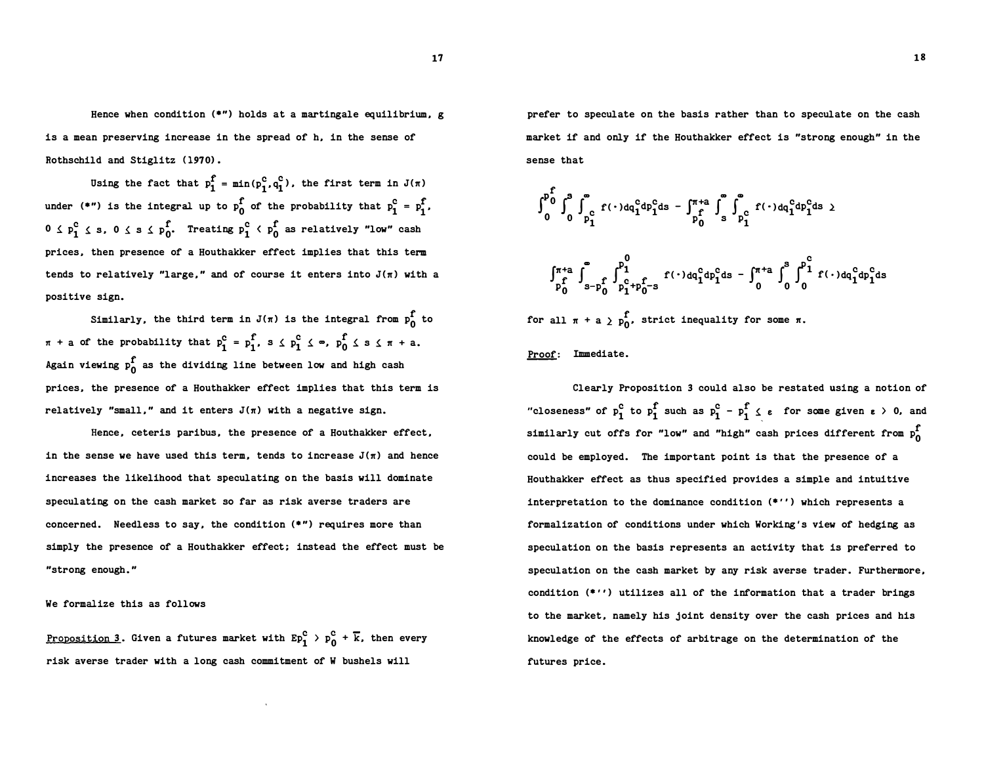Hence when condition  $(*")$  holds at a martingale equilibrium, g is a mean preserving increase in the spread of h, in the sense of Rothschild and Stiglitz (1970).

Using the fact that  $p_1^f = min(p_1^c, q_1^c)$ , the first term in  $J(\pi)$ under (\*") is the integral up to  $p_0^f$  of the probability that  $p_1^c = p_1^f$ ,  $0 \leq p_1^c \leq s$ ,  $0 \leq s \leq p_0^f$ . Treating  $p_1^c \leq p_0^f$  as relatively "low" cash prices, then presence of a Houthakker effect implies that this term tends to relatively "large." and of course it enters into  $J(\pi)$  with a positive sign.

 $\pi$  + a of the probability that  $p_1^c = p_1^f$ ,  $s \le p_1^c \le \infty$ ,  $p_0^f \le s \le \pi + a$ . Again viewing  $p_{0}^{\mathbf{f}}$  as the dividing line between low and high cash Similarly, the third term in  $J(\pi)$  is the integral from  $p_{n}^{f}$  to prices, the presence of a Houthakker effect implies that this term is relatively "small," and it enters  $J(\pi)$  with a negative sign.

Hence, ceteris paribus, the presence of a Houthakker effect, in the sense we have used this term, tends to increase  $J(\pi)$  and hence increases the likelihood that speculating on the basis will dominate speculating on the cash market so far as risk averse traders are concerned. Needless to say, the condition (\*") requires more than simply the presence of a Houthakker effect; instead the effect must be "strong enough."

We formalize this as follows

<u>Proposition 3</u>. Given a futures market with  $Ep_1^c$  >  $p_0^c$  +  $\overline{k}$ , then every risk averse trader with a long cash commitment of W bushels will

prefer to speculate on the basis rather than to speculate on the cash market if and only if the Houthakker effect is "strong enough" in the sense that

$$
\int_{0}^{p_0^f} \int_{0}^{a} \int_{p_1^c}^{a} f(\cdot) dq_1^c dp_1^c ds - \int_{p_0^f}^{\pi+a} \int_{s}^{a} \int_{p_1^c}^{a} f(\cdot) dq_1^c dp_1^c ds
$$
  

$$
\int_{p_0^f}^{\pi+a} \int_{s-p_0^f}^{a} \int_{p_1^c+p_0^c-s}^{p_1^0} f(\cdot) dq_1^c dp_1^c ds - \int_{0}^{\pi+a} \int_{0}^{s} \int_{0}^{p_1^c} f(\cdot) dq_1^c dp_1^c ds
$$

for all  $\pi$  + a  $\sum_{n=0}^{\infty}$ , strict inequality for some  $\pi$ .

Proof: Immediate.

Clearly Proposition 3 could also be restated using a notion of "closeness" of  $p_1^c$  to  $p_1^f$  such as  $p_1^c - p_1^f \n\t\le \varepsilon$  for some given  $\varepsilon > 0$ , and similarly cut offs for "low" and "high" cash prices different from  $p_0^f$ could be employed. The important point is that the presence of a Houthakker effect as thus specified provides a simple and intuitive interpretation to the dominance condition  $(*')$  which represents a formalization of conditions under which Working's view of hedging as speculation on the basis represents an activity that is preferred to speculation on the cash market by any risk averse trader. Furthermore, condition  $(*'')$  utilizes all of the information that a trader brings to the market, namely his joint density over the cash prices and his knowledge of the effects of arbitrage on the determination of the futures price.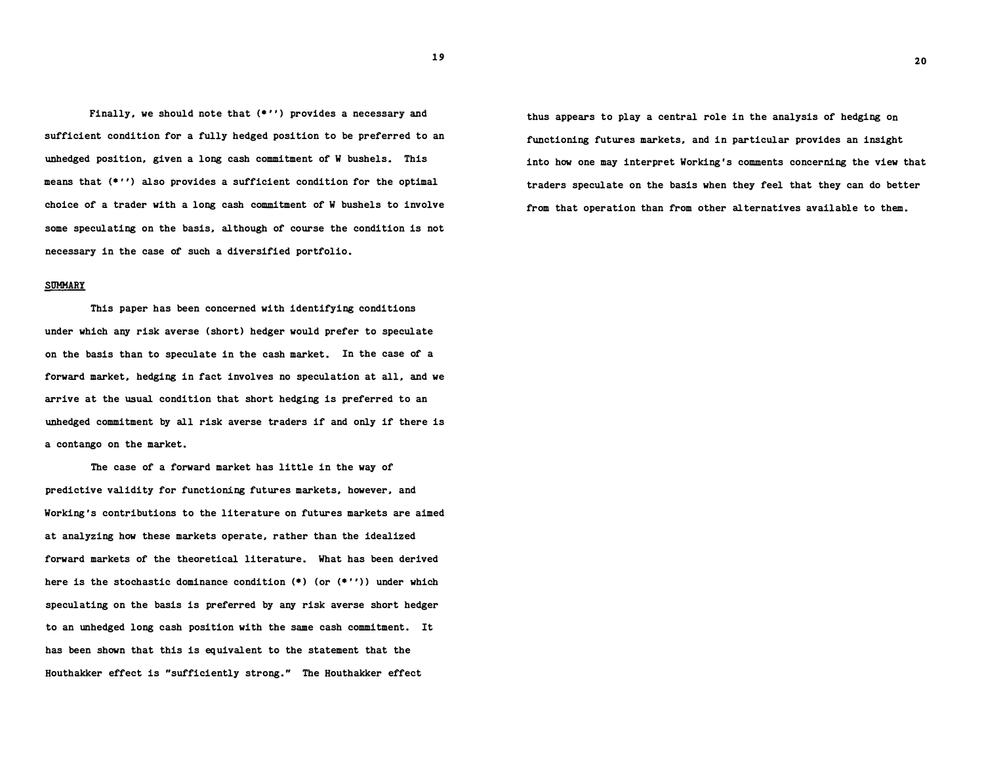Finally, we should note that (\*'') provides a necessary and sufficient condition for a fully hedged position to be preferred to an unhedged position, given a long cash commitment of W bushels. This means that (\*'') also provides a sufficient condition for the optimal choice of a trader with a long cash commitment of W bushels to involve some speculating on the basis, although of course the condition is not necessary in the case of such a diversified portfolio.

## **SUMMARY**

This paper has been concerned with identifying conditions under which any risk averse (short) hedger would prefer to speculate on the basis than to speculate in the cash market. In the case of a forward market, hedging in fact involves no speculation at all, and we arrive at the usual condition that short hedging is preferred to an unhedged commitment by all risk averse traders if and only if there is a contango on the market.

The case of a forward market has little in the way of predictive validity for functioning futures markets, however, and Working's contributions to the literature on futures markets are aimed at analyzing how these markets operate, rather than the idealized forward markets of the theoretical literature. What has been derived here is the stochastic dominance condition  $(*)$  (or  $(*')$ ) under which speculating on the basis is preferred by any risk averse short hedger to an unhedged long cash position with the same cash commitment. It has been shown that this is equivalent to the statement that the Houthakker effect is "sufficiently strong." The Houthakker effect

thus appears to play a central role in the analysis of hedging on functioning futures markets, and in particular provides an insight into how one may interpret Working's comments concerning the view that traders speculate on the basis when they feel that they can do better from that operation than from other alternatives available to them.